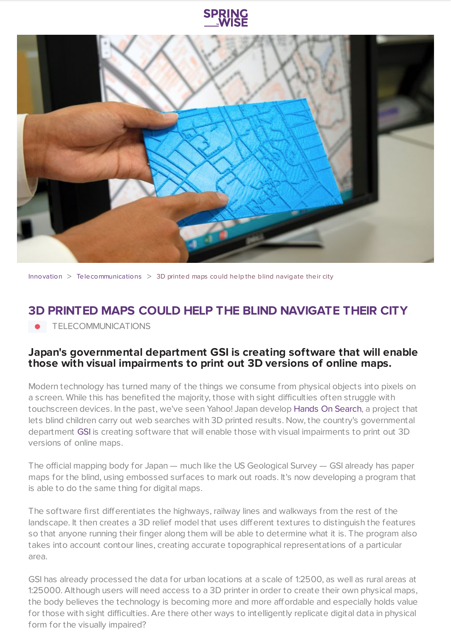



[Innovation](https://www.springwise.com/search?type=innovation)  $>$  [Telecommunications](https://www.springwise.com/search?type=innovation§or=telecoms-tech)  $>$  3D printed maps could help the blind navigate their city

## **3D PRINTED MAPS COULD HELP THE BLIND NAVIGATE THEIR CITY**

TELECOMMUNICATIONS

## **Japan's governmental department GSI is creating software that will enable those with visual impairments to print out 3D versions of online maps.**

Modern technology has turned many of the things we consume from physical objects into pixels on a screen. While this has benefited the majority, those with sight difficulties often struggle with touchscreen devices. In the past, we've seen Yahoo! Japan develop Hands On [Search](https://www.springwise.com/japan-web-search-3d-prints-results-visually-impaired/), a project that lets blind children carry out web searches with 3D printed results. Now, the country's governmental department [GSI](http://ajw.asahi.com/article/sci_tech/technology/AJ201409230007) is creating software that will enable those with visual impairments to print out 3D versions of online maps.

The official mapping body for Japan — much like the US Geological Survey — GSI already has paper maps for the blind, using embossed surfaces to mark out roads. It's now developing a program that is able to do the same thing for digital maps.

The software first differentiates the highways, railway lines and walkways from the rest of the landscape. It then creates a 3D relief model that uses different textures to distinguish the features so that anyone running their finger along them will be able to determine what it is. The program also takes into account contour lines, creating accurate topographical representations of a particular area.

GSI has already processed the data for urban locations at a scale of 1:2500, as well as rural areas at 1:25000. Although users will need access to a 3D printer in order to create their own physical maps, the body believes the technology is becoming more and more affordable and especially holds value for those with sight difficulties. Are there other ways to intelligently replicate digital data in physical form for the visually impaired?